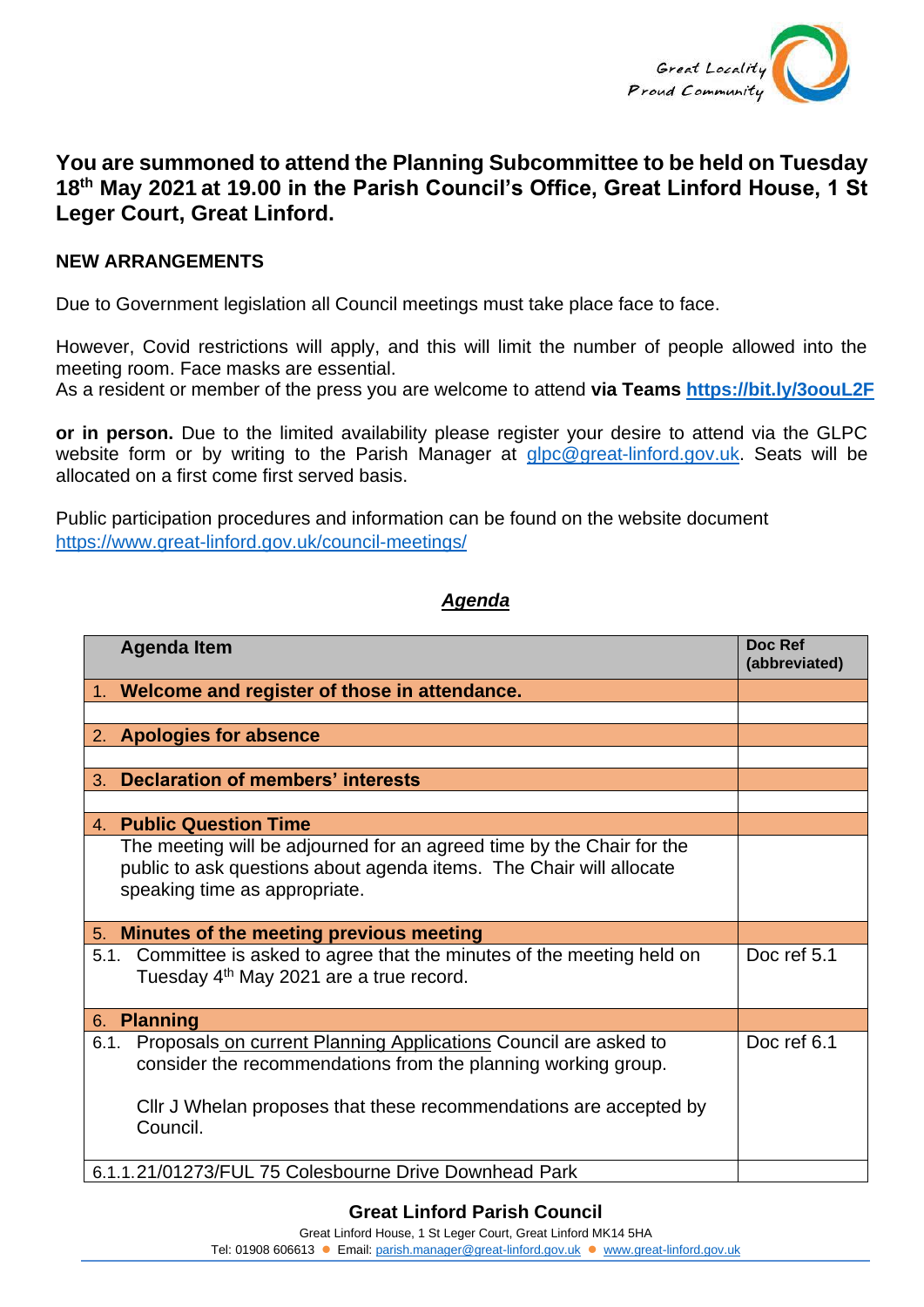

## **You are summoned to attend the Planning Subcommittee to be held on Tuesday 18th May 2021 at 19.00 in the Parish Council's Office, Great Linford House, 1 St Leger Court, Great Linford.**

## **NEW ARRANGEMENTS**

Due to Government legislation all Council meetings must take place face to face.

However, Covid restrictions will apply, and this will limit the number of people allowed into the meeting room. Face masks are essential.

As a resident or member of the press you are welcome to attend **via Teams <https://bit.ly/3oouL2F>**

**or in person.** Due to the limited availability please register your desire to attend via the GLPC website form or by writing to the Parish Manager at [glpc@great-linford.gov.uk.](mailto:glpc@great-linford.gov.uk) Seats will be allocated on a first come first served basis.

Public participation procedures and information can be found on the website document <https://www.great-linford.gov.uk/council-meetings/>

## *Agenda*

| <b>Agenda Item</b>                                                       | Doc Ref<br>(abbreviated) |
|--------------------------------------------------------------------------|--------------------------|
|                                                                          |                          |
| 1. Welcome and register of those in attendance.                          |                          |
|                                                                          |                          |
| 2. Apologies for absence                                                 |                          |
|                                                                          |                          |
| <b>Declaration of members' interests</b><br>3.                           |                          |
|                                                                          |                          |
| 4. Public Question Time                                                  |                          |
| The meeting will be adjourned for an agreed time by the Chair for the    |                          |
| public to ask questions about agenda items. The Chair will allocate      |                          |
| speaking time as appropriate.                                            |                          |
|                                                                          |                          |
| 5. Minutes of the meeting previous meeting                               |                          |
| 5.1. Committee is asked to agree that the minutes of the meeting held on | Doc ref 5.1              |
| Tuesday 4 <sup>th</sup> May 2021 are a true record.                      |                          |
|                                                                          |                          |
| 6. Planning                                                              |                          |
| Proposals on current Planning Applications Council are asked to<br>6.1.  | Doc ref 6.1              |
| consider the recommendations from the planning working group.            |                          |
|                                                                          |                          |
| CIIr J Whelan proposes that these recommendations are accepted by        |                          |
| Council.                                                                 |                          |
|                                                                          |                          |
| 6.1.1.21/01273/FUL 75 Colesbourne Drive Downhead Park                    |                          |